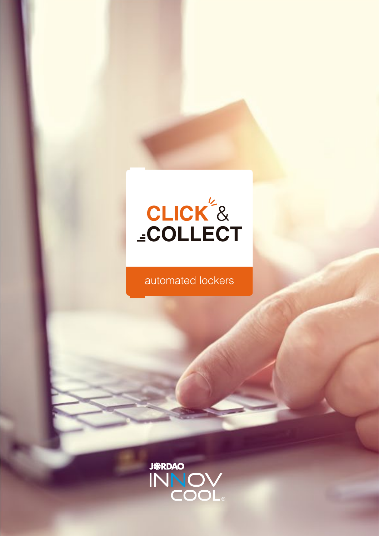

# automated lockers

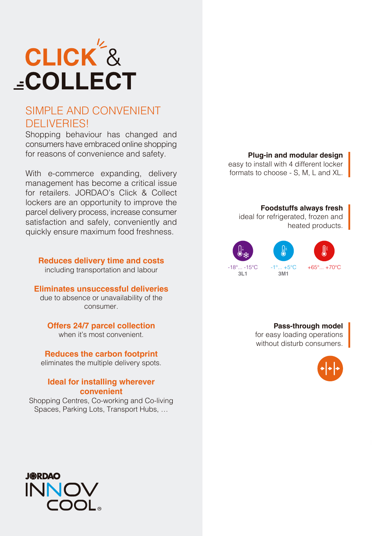

## SIMPLE AND CONVENIENT DELIVERIES!

Shopping behaviour has changed and consumers have embraced online shopping for reasons of convenience and safety.

With e-commerce expanding, delivery management has become a critical issue for retailers. JORDAO's Click & Collect lockers are an opportunity to improve the parcel delivery process, increase consumer satisfaction and safely, conveniently and quickly ensure maximum food freshness.

**Reduces delivery time and costs** including transportation and labour

**Eliminates unsuccessful deliveries**

due to absence or unavailability of the consumer.

**Offers 24/7 parcel collection**

when it's most convenient.

**Reduces the carbon footprint** eliminates the multiple delivery spots.

#### **Ideal for installing wherever convenient**

Shopping Centres, Co-working and Co-living Spaces, Parking Lots, Transport Hubs, …



easy to install with 4 different locker formats to choose - S, M, L and XL.

#### **Foodstuffs always fresh**

ideal for refrigerated, frozen and heated products.



#### **Pass-through model**

for easy loading operations without disturb consumers.



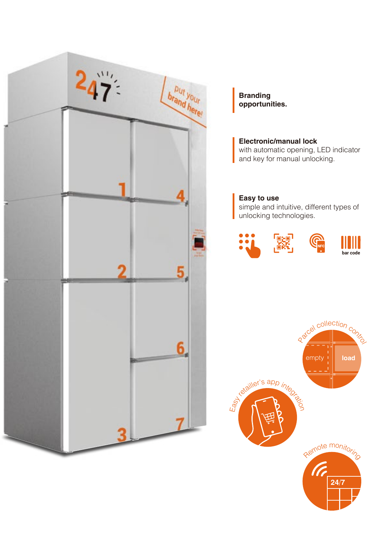

**Branding opportunities.**

**Electronic/manual lock** with automatic opening, LED indicator and key for manual unlocking.

## **Easy to use**

simple and intuitive, different types of unlocking technologies.